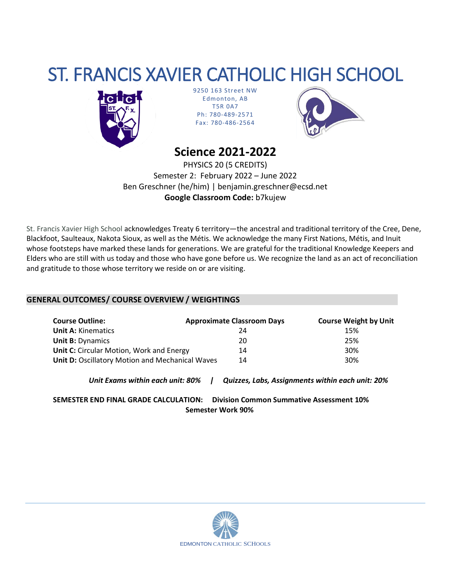# ST. FRANCIS XAVIER CATHOLIC HIGH SCHOOL



9250 163 Street NW Edmonton, AB T5R 0A7 Ph: 780-489-2571 Fax: 780-486-2564



## **Science 2021-2022**

PHYSICS 20 (5 CREDITS) Semester 2: February 2022 – June 2022 Ben Greschner (he/him) | benjamin.greschner@ecsd.net **Google Classroom Code:** b7kujew

St. Francis Xavier High School acknowledges Treaty 6 territory—the ancestral and traditional territory of the Cree, Dene, Blackfoot, Saulteaux, Nakota Sioux, as well as the Métis. We acknowledge the many First Nations, Métis, and Inuit whose footsteps have marked these lands for generations. We are grateful for the traditional Knowledge Keepers and Elders who are still with us today and those who have gone before us. We recognize the land as an act of reconciliation and gratitude to those whose territory we reside on or are visiting.

### **GENERAL OUTCOMES/ COURSE OVERVIEW / WEIGHTINGS**

| <b>Course Outline:</b>                          | <b>Approximate Classroom Days</b> | <b>Course Weight by Unit</b> |
|-------------------------------------------------|-----------------------------------|------------------------------|
| <b>Unit A: Kinematics</b>                       | 24                                | 15%                          |
| <b>Unit B: Dynamics</b>                         | 20                                | 25%                          |
| Unit C: Circular Motion, Work and Energy        | 14                                | 30%                          |
| Unit D: Oscillatory Motion and Mechanical Waves | 14                                | 30%                          |

*Unit Exams within each unit: 80% | Quizzes, Labs, Assignments within each unit: 20%*

**SEMESTER END FINAL GRADE CALCULATION: Division Common Summative Assessment 10% Semester Work 90%**